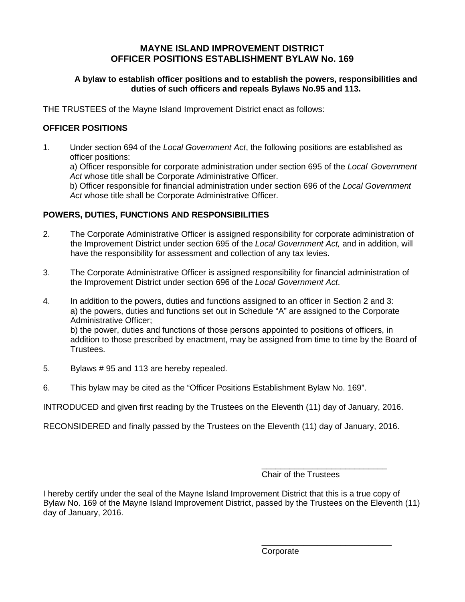# **MAYNE ISLAND IMPROVEMENT DISTRICT OFFICER POSITIONS ESTABLISHMENT BYLAW No. 169**

### **A bylaw to establish officer positions and to establish the powers, responsibilities and duties of such officers and repeals Bylaws No.95 and 113.**

THE TRUSTEES of the Mayne Island Improvement District enact as follows:

### **OFFICER POSITIONS**

1. Under section 694 of the *Local Government Act*, the following positions are established as officer positions: a) Officer responsible for corporate administration under section 695 of the *Local Government Act* whose title shall be Corporate Administrative Officer. b) Officer responsible for financial administration under section 696 of the *Local Government Act* whose title shall be Corporate Administrative Officer.

### **POWERS, DUTIES, FUNCTIONS AND RESPONSIBILITIES**

- 2. The Corporate Administrative Officer is assigned responsibility for corporate administration of the Improvement District under section 695 of the *Local Government Act,* and in addition, will have the responsibility for assessment and collection of any tax levies.
- 3. The Corporate Administrative Officer is assigned responsibility for financial administration of the Improvement District under section 696 of the *Local Government Act*.
- 4. In addition to the powers, duties and functions assigned to an officer in Section 2 and 3: a) the powers, duties and functions set out in Schedule "A" are assigned to the Corporate Administrative Officer; b) the power, duties and functions of those persons appointed to positions of officers, in addition to those prescribed by enactment, may be assigned from time to time by the Board of Trustees.
- 5. Bylaws # 95 and 113 are hereby repealed.
- 6. This bylaw may be cited as the "Officer Positions Establishment Bylaw No. 169".

INTRODUCED and given first reading by the Trustees on the Eleventh (11) day of January, 2016.

RECONSIDERED and finally passed by the Trustees on the Eleventh (11) day of January, 2016.

\_\_\_\_\_\_\_\_\_\_\_\_\_\_\_\_\_\_\_\_\_\_\_\_\_\_\_ Chair of the Trustees

I hereby certify under the seal of the Mayne Island Improvement District that this is a true copy of Bylaw No. 169 of the Mayne Island Improvement District, passed by the Trustees on the Eleventh (11) day of January, 2016.

> \_\_\_\_\_\_\_\_\_\_\_\_\_\_\_\_\_\_\_\_\_\_\_\_\_\_\_\_ Corporate